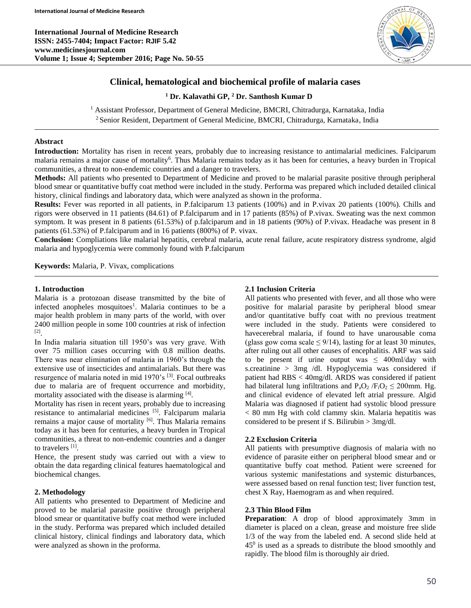**International Journal of Medicine Research ISSN: 2455-7404; Impact Factor: RJIF 5.42 www.medicinesjournal.com Volume 1; Issue 4; September 2016; Page No. 50-55**



# **Clinical, hematological and biochemical profile of malaria cases**

**<sup>1</sup> Dr. Kalavathi GP, <sup>2</sup> Dr. Santhosh Kumar D**

<sup>1</sup> Assistant Professor, Department of General Medicine, BMCRI, Chitradurga, Karnataka, India <sup>2</sup> Senior Resident, Department of General Medicine, BMCRI, Chitradurga, Karnataka, India

### **Abstract**

**Introduction:** Mortality has risen in recent years, probably due to increasing resistance to antimalarial medicines. Falciparum malaria remains a major cause of mortality<sup>6</sup>. Thus Malaria remains today as it has been for centuries, a heavy burden in Tropical communities, a threat to non-endemic countries and a danger to travelers.

**Methods:** All patients who presented to Department of Medicine and proved to be malarial parasite positive through peripheral blood smear or quantitative buffy coat method were included in the study. Performa was prepared which included detailed clinical history, clinical findings and laboratory data, which were analyzed as shown in the proforma.

**Results:** Fever was reported in all patients, in P.falciparum 13 patients (100%) and in P.vivax 20 patients (100%). Chills and rigors were observed in 11 patients (84.61) of P.falciparum and in 17 patients (85%) of P.vivax. Sweating was the next common symptom. It was present in 8 patients (61.53%) of p.falciparum and in 18 patients (90%) of P.vivax. Headache was present in 8 patients (61.53%) of P.falciparum and in 16 patients (800%) of P. vivax.

**Conclusion:** Compliations like malarial hepatitis, cerebral malaria, acute renal failure, acute respiratory distress syndrome, algid malaria and hypoglycemia were commonly found with P.falciparum

**Keywords:** Malaria, P. Vivax, complications

### **1. Introduction**

Malaria is a protozoan disease transmitted by the bite of infected anopheles mosquitoes<sup>1</sup>. Malaria continues to be a major health problem in many parts of the world, with over 2400 million people in some 100 countries at risk of infection [2] .

In India malaria situation till 1950's was very grave. With over 75 million cases occurring with 0.8 million deaths. There was near elimination of malaria in 1960's through the extensive use of insecticides and antimalarials. But there was resurgence of malaria noted in mid 1970's <sup>[3]</sup>. Focal outbreaks due to malaria are of frequent occurrence and morbidity, mortality associated with the disease is alarming [4].

Mortality has risen in recent years, probably due to increasing resistance to antimalarial medicines [5]. Falciparum malaria remains a major cause of mortality <sup>[6]</sup>. Thus Malaria remains today as it has been for centuries, a heavy burden in Tropical communities, a threat to non-endemic countries and a danger to travelers [1].

Hence, the present study was carried out with a view to obtain the data regarding clinical features haematological and biochemical changes.

# **2. Methodology**

All patients who presented to Department of Medicine and proved to be malarial parasite positive through peripheral blood smear or quantitative buffy coat method were included in the study. Performa was prepared which included detailed clinical history, clinical findings and laboratory data, which were analyzed as shown in the proforma.

### **2.1 Inclusion Criteria**

All patients who presented with fever, and all those who were positive for malarial parasite by peripheral blood smear and/or quantitative buffy coat with no previous treatment were included in the study. Patients were considered to havecerebral malaria, if found to have unarousable coma (glass gow coma scale  $\leq$  9/14), lasting for at least 30 minutes, after ruling out all other causes of encephalitis. ARF was said to be present if urine output was  $\leq$  400ml/day with s.creatinine > 3mg /dl. Hypoglycemia was considered if patient had RBS < 40mg/dl. ARDS was considered if patient had bilateral lung infiltrations and  $P_aO_2/F_1O_2 \leq 200$  mm. Hg. and clinical evidence of elevated left atrial pressure. Algid Malaria was diagnosed if patient had systolic blood pressure < 80 mm Hg with cold clammy skin. Malaria hepatitis was considered to be present if S. Bilirubin > 3mg/dl.

# **2.2 Exclusion Criteria**

All patients with presumptive diagnosis of malaria with no evidence of parasite either on peripheral blood smear and or quantitative buffy coat method. Patient were screened for various systemic manifestations and systemic disturbances, were assessed based on renal function test; liver function test, chest X Ray, Haemogram as and when required.

#### **2.3 Thin Blood Film**

**Preparation**: A drop of blood approximately 3mm in diameter is placed on a clean, grease and moisture free slide 1/3 of the way from the labeled end. A second slide held at  $45<sup>0</sup>$  is used as a spreads to distribute the blood smoothly and rapidly. The blood film is thoroughly air dried.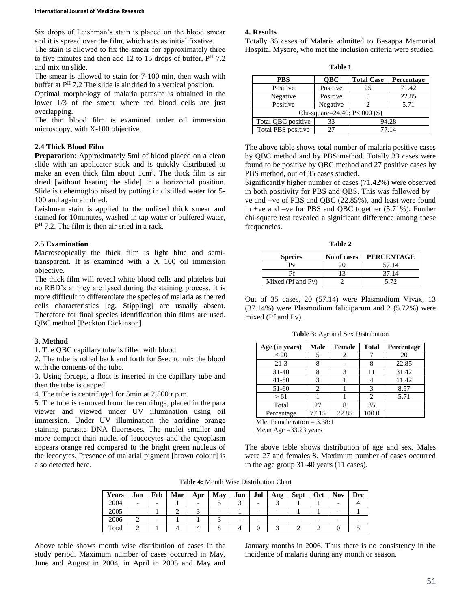Six drops of Leishman's stain is placed on the blood smear and it is spread over the film, which acts as initial fixative.

The stain is allowed to fix the smear for approximately three to five minutes and then add 12 to 15 drops of buffer,  $P<sup>H</sup>$  7.2 and mix on slide.

The smear is allowed to stain for 7-100 min, then wash with buffer at  $P<sup>H</sup>$  7.2 The slide is air dried in a vertical position.

Optimal morphology of malaria parasite is obtained in the lower  $1/3$  of the smear where red blood cells are just overlapping.

The thin blood film is examined under oil immersion microscopy, with X-100 objective.

### **2.4 Thick Blood Film**

**Preparation**: Approximately 5ml of blood placed on a clean slide with an applicator stick and is quickly distributed to make an even thick film about 1cm<sup>2</sup>. The thick film is air dried [without heating the slide] in a horizontal position. Slide is dehemoglobinised by putting in distilled water for 5- 100 and again air dried.

Leishman stain is applied to the unfixed thick smear and stained for 10minutes, washed in tap water or buffered water, P<sup>H</sup> 7.2. The film is then air sried in a rack.

### **2.5 Examination**

Macroscopically the thick film is light blue and semitransparent. It is examined with a X 100 oil immersion objective.

The thick film will reveal white blood cells and platelets but no RBD's at they are lysed during the staining process. It is more difficult to differentiate the species of malaria as the red cells characteristics [eg. Stippling] are usually absent. Therefore for final species identification thin films are used. QBC method [Beckton Dickinson]

# **3. Method**

1. The QBC capillary tube is filled with blood.

2. The tube is rolled back and forth for 5sec to mix the blood with the contents of the tube.

3. Using forceps, a float is inserted in the capillary tube and then the tube is capped.

4. The tube is centrifuged for 5min at 2,500 r.p.m.

5. The tube is removed from the centrifuge, placed in the para viewer and viewed under UV illumination using oil immersion. Under UV illumination the acridine orange staining parasite DNA fluoresces. The nuclei smaller and more compact than nuclei of leucocytes and the cytoplasm appears orange red compared to the bright green nucleus of the lecocytes. Presence of malarial pigment [brown colour] is also detected here.

# **4. Results**

Totally 35 cases of Malaria admitted to Basappa Memorial Hospital Mysore, who met the inclusion criteria were studied.

**Table 1**

| танс т             |            |                              |                   |  |  |  |  |  |
|--------------------|------------|------------------------------|-------------------|--|--|--|--|--|
| <b>PBS</b>         | <b>OBC</b> | <b>Total Case</b>            | <b>Percentage</b> |  |  |  |  |  |
| Positive           | Positive   | 25                           | 71.42             |  |  |  |  |  |
| Negative           | Positive   |                              | 22.85             |  |  |  |  |  |
| Positive           | Negative   |                              | 5.71              |  |  |  |  |  |
|                    |            | Chi-square=24.40; P<.000 (S) |                   |  |  |  |  |  |
| Total QBC positive | 33         | 94.28                        |                   |  |  |  |  |  |
| Total PBS positive | 27         |                              | 77.14             |  |  |  |  |  |

The above table shows total number of malaria positive cases by QBC method and by PBS method. Totally 33 cases were found to be positive by QBC method and 27 positive cases by PBS method, out of 35 cases studied.

Significantly higher number of cases (71.42%) were observed in both positivity for PBS and QBS. This was followed by – ve and +ve of PBS and QBC (22.85%), and least were found in +ve and –ve for PBS and QBC together (5.71%). Further chi-square test revealed a significant difference among these frequencies.

|                   | Table 2     |                   |
|-------------------|-------------|-------------------|
| <b>Species</b>    | No of cases | <b>PERCENTAGE</b> |
| Pv                | 20          | 57.14             |
| Рf                | 13          | 37.14             |
| Mixed (Pf and Pv) |             | 5.72              |

Out of 35 cases, 20 (57.14) were Plasmodium Vivax, 13 (37.14%) were Plasmodium faliciparum and 2 (5.72%) were mixed (Pf and Pv).

**Table 3:** Age and Sex Distribution

| Age (in years)   | <b>Male</b> | <b>Female</b> | <b>Total</b> | Percentage |
|------------------|-------------|---------------|--------------|------------|
| < 20             |             |               |              | 20         |
| $21 - 3$         |             |               |              | 22.85      |
| $31 - 40$        |             |               | 11           | 31.42      |
| $41 - 50$        |             |               |              | 11.42      |
| 51-60            |             |               |              | 8.57       |
| > 61             |             |               |              | 5.71       |
| Total            | 27          |               | 35           |            |
| Percentage       | 77.15       | 22.85         | 100.0        |            |
| $M = \Gamma$ $1$ | 2.201       |               |              |            |

Mle: Female ration = 3.38:1 Mean Age =33.23 years

The above table shows distribution of age and sex. Males were 27 and females 8. Maximum number of cases occurred in the age group 31-40 years (11 cases).

**Table 4:** Month Wise Distribution Chart

| Years | Jan | Feb | Mar | Apr | May | Jun | Jul | Aug | <b>Sept</b> | <b>Oct</b> | <b>Nov</b> | Dec |
|-------|-----|-----|-----|-----|-----|-----|-----|-----|-------------|------------|------------|-----|
| 2004  |     |     |     |     |     |     |     |     |             |            |            |     |
| 2005  |     |     |     |     | -   |     | -   |     |             |            |            |     |
| 2006  | ↩   | -   |     |     |     | -   | -   |     |             | -          |            |     |
| Total | -   |     |     |     |     |     |     |     |             |            |            |     |

Above table shows month wise distribution of cases in the study period. Maximum number of cases occurred in May, June and August in 2004, in April in 2005 and May and January months in 2006. Thus there is no consistency in the incidence of malaria during any month or season.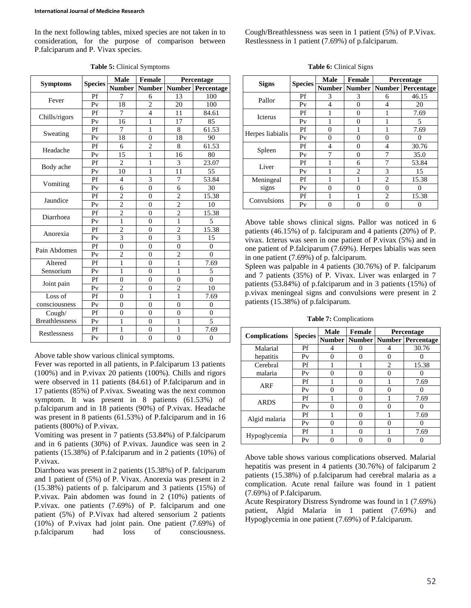In the next following tables, mixed species are not taken in to consideration, for the purpose of comparison between P.falciparum and P. Vivax species.

|                       |                | Male           | <b>Female</b>            |                      | Percentage     |
|-----------------------|----------------|----------------|--------------------------|----------------------|----------------|
| <b>Symptoms</b>       | <b>Species</b> | Number         |                          | <b>Number Number</b> | Percentage     |
| Fever                 | Pf             | 7              | 6                        | 13                   | 100            |
|                       | P <sub>V</sub> | 18             | $\overline{c}$           | 20                   | 100            |
|                       | Pf             | 7              | $\overline{\mathcal{L}}$ | 11                   | 84.61          |
| Chills/rigors         | P <sub>V</sub> | 16             | 1                        | 17                   | 85             |
|                       | Pf             | 7              | 1                        | 8                    | 61.53          |
| Sweating              | $P_V$          | 18             | $\theta$                 | 18                   | 90             |
| Headache              | Pf             | 6              | $\overline{\mathcal{L}}$ | 8                    | 61.53          |
|                       | P <sub>V</sub> | 15             | 1                        | 16                   | 80             |
|                       | Pf             | $\overline{c}$ | $\mathbf{1}$             | 3                    | 23.07          |
| Body ache             | $P_V$          | 10             | 1                        | 11                   | 55             |
|                       | Pf             | 4              | 3                        | 7                    | 53.84          |
| Vomiting              | P <sub>V</sub> | 6              | $\theta$                 | 6                    | 30             |
| Jaundice              | Pf             | $\overline{2}$ | $\theta$                 | $\overline{2}$       | 15.38          |
|                       | P <sub>V</sub> | $\overline{c}$ | $\theta$                 | $\overline{c}$       | 10             |
| Diarrhoea             | Pf             | $\overline{2}$ | $\theta$                 | $\overline{2}$       | 15.38          |
|                       | P <sub>V</sub> | 1              | $\theta$                 | 1                    | 5              |
| Anorexia              | Pf             | $\overline{2}$ | $\theta$                 | $\overline{2}$       | 15.38          |
|                       | P <sub>V</sub> | 3              | $\theta$                 | 3                    | 15             |
| Pain Abdomen          | Pf             | $\theta$       | $\theta$                 | $\theta$             | $\Omega$       |
|                       | P <sub>V</sub> | $\overline{c}$ | $\theta$                 | $\overline{c}$       | $\theta$       |
| Altered               | Pf             | $\mathbf{1}$   | $\theta$                 | $\mathbf{1}$         | 7.69           |
| Sensorium             | P <sub>V</sub> | 1              | $\Omega$                 | 1                    | 5              |
|                       | Pf             | $\overline{0}$ | $\theta$                 | $\overline{0}$       | $\theta$       |
| Joint pain            | P <sub>V</sub> | $\overline{c}$ | $\theta$                 | $\overline{2}$       | 10             |
| Loss of               | Pf             | $\theta$       | $\mathbf{1}$             | 1                    | 7.69           |
| consciousness         | P <sub>V</sub> | $\overline{0}$ | $\overline{0}$           | $\overline{0}$       | 0              |
| Cough/                | Pf             | $\overline{0}$ | $\theta$                 | $\overline{0}$       | $\overline{0}$ |
| <b>Breathlessness</b> | P <sub>V</sub> | 1              | $\theta$                 | 1                    | 5              |
| Restlessness          | Pf             | 1              | $\theta$                 | 1                    | 7.69           |
|                       | P <sub>V</sub> | $\overline{0}$ | $\overline{0}$           | $\overline{0}$       | 0              |

**Table 5:** Clinical Symptoms

Above table show various clinical symptoms.

Fever was reported in all patients, in P.falciparum 13 patients (100%) and in P.vivax 20 patients (100%). Chills and rigors were observed in 11 patients (84.61) of P.falciparum and in 17 patients (85%) of P.vivax. Sweating was the next common symptom. It was present in 8 patients (61.53%) of p.falciparum and in 18 patients (90%) of P.vivax. Headache was present in 8 patients (61.53%) of P.falciparum and in 16 patients (800%) of P.vivax.

Vomiting was present in 7 patients (53.84%) of P.falciparum and in 6 patients (30%) of P.vivax. Jaundice was seen in 2 patients (15.38%) of P.falciparum and in 2 patients (10%) of P.vivax.

Diarrhoea was present in 2 patients (15.38%) of P. falciparum and 1 patient of (5%) of P. Vivax. Anorexia was present in 2 (15.38%) patients of p. falciparum and 3 patients (15%) of P.vivax. Pain abdomen was found in 2 (10%) patients of P.vivax. one patients (7.69%) of P. falciparum and one patient (5%) of P.Vivax had altered sensorium 2 patients (10%) of P.vivax had joint pain. One patient (7.69%) of p.falciparum had loss of consciousness.

Cough/Breathlessness was seen in 1 patient (5%) of P.Vivax. Restlessness in 1 patient (7.69%) of p.falciparum.

**Table 6:** Clinical Signs

|                  |                | Male     | <b>Female</b>  |                | Percentage               |
|------------------|----------------|----------|----------------|----------------|--------------------------|
| <b>Signs</b>     | <b>Species</b> | Number   | Number         |                | <b>Number Percentage</b> |
| Pallor           | Pf             | 3        | 3              | 6              | 46.15                    |
|                  | P <sub>V</sub> | 4        | 0              | 4              | 20                       |
| <b>Icterus</b>   | Pf             | 1        | 0              | 1              | 7.69                     |
|                  | P <sub>V</sub> |          | 0              |                | 5                        |
|                  | Pf             | 0        | 1              | 1              | 7.69                     |
| Herpes liabialis | P <sub>V</sub> | 0        | 0              | 0              | 0                        |
|                  | Pf             | 4        | 0              | 4              | 30.76                    |
| Spleen           | P <sub>V</sub> | 7        | 0              | 7              | 35.0                     |
| Liver            | Pf             |          | 6              | 7              | 53.84                    |
|                  | P <sub>V</sub> |          | $\overline{c}$ | 3              | 15                       |
| Meningeal        | Pf             | 1        |                | $\mathfrak{D}$ | 15.38                    |
| signs            | P <sub>V</sub> | $\Omega$ | O              | 0              |                          |
| Convulsions      | Pf             |          |                | $\overline{c}$ | 15.38                    |
|                  | P <sub>V</sub> | 0        | O              | 0              |                          |

Above table shows clinical signs. Pallor was noticed in 6 patients (46.15%) of p. falcipuram and 4 patients (20%) of P. vivax. Icterus was seen in one patient of P.vivax (5%) and in one patient of P.falciparum (7.69%). Herpes labialis was seen in one patient (7.69%) of p. falciparum.

Spleen was palpable in 4 patients (30.76%) of P. falciparum and 7 patients (35%) of P. Vivax. Liver was enlarged in 7 patients (53.84%) of p.falciparum and in 3 patients (15%) of p.vivax meningeal signs and convulsions were present in 2 patients (15.38%) of p.falciparum.

**Table 7:** Complications

|                      |                | Male | <b>Female</b>                   |                | Percentage |
|----------------------|----------------|------|---------------------------------|----------------|------------|
| <b>Complications</b> | <b>Species</b> |      | <b>Number   Number   Number</b> |                | Percentage |
| Malarial             | Pf             |      |                                 |                | 30.76      |
| hepatitis            | P <sub>V</sub> | 0    | 0                               | O              |            |
| Cerebral             | Pf             |      |                                 | $\mathfrak{D}$ | 15.38      |
| malaria              | P <sub>V</sub> | 0    | $\mathbf{0}$                    |                |            |
| ARF                  | Pf             |      | $\left($                        |                | 7.69       |
|                      | P <sub>V</sub> | 0    | 0                               | 0              |            |
| <b>ARDS</b>          | Pf             |      |                                 |                | 7.69       |
|                      | P <sub>V</sub> | 0    | ∩                               | ∩              |            |
|                      | Pf             |      | $\mathcal{L}$                   |                | 7.69       |
| Algid malaria        | P <sub>V</sub> | 0    |                                 |                |            |
|                      | Pf             |      | 0                               |                | 7.69       |
| Hypoglycemia         | P <sub>V</sub> |      |                                 |                |            |

Above table shows various complications observed. Malarial hepatitis was present in 4 patients (30.76%) of falciparum 2 patients (15.38%) of p.falciparum had cerebral malaria as a complication. Acute renal failure was found in 1 patient (7.69%) of P.falciparum.

Acute Respiratory Distress Syndrome was found in 1 (7.69%) patient, Algid Malaria in 1 patient (7.69%) and Hypoglycemia in one patient (7.69%) of P.falciparum.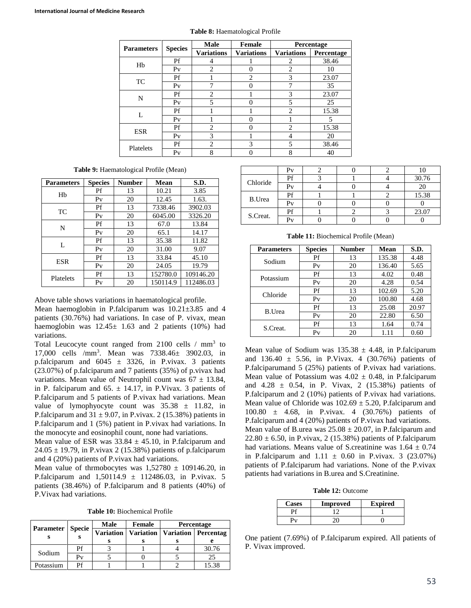|                   |                | <b>Male</b>       | Female            |                   | Percentage |
|-------------------|----------------|-------------------|-------------------|-------------------|------------|
| <b>Parameters</b> | <b>Species</b> | <b>Variations</b> | <b>Variations</b> | <b>Variations</b> | Percentage |
| H <sub>b</sub>    | Pf             |                   |                   | 2                 | 38.46      |
|                   | $P_V$          | $\overline{c}$    | $\Omega$          | $\overline{2}$    | 10         |
| TC                | Pf             |                   | $\mathfrak{D}$    | 3                 | 23.07      |
|                   | $P_V$          |                   |                   |                   | 35         |
| N                 | Pf             | 2                 |                   | 3                 | 23.07      |
|                   | $P_V$          | 5                 | 0                 | 5                 | 25         |
| L                 | Pf             |                   |                   | $\mathfrak{D}$    | 15.38      |
|                   | $P_V$          |                   | U                 |                   | 5          |
| <b>ESR</b>        | Pf             | 2                 | $\bigcap$         | $\overline{c}$    | 15.38      |
|                   | P <sub>V</sub> | 3                 |                   |                   | 20         |
| Platelets         | Pf             | $\overline{c}$    | 3                 | $\overline{5}$    | 38.46      |
|                   | $P_V$          | 8                 |                   | 8                 | 40         |

**Table 8:** Haematological Profile

**Table 9:** Haematological Profile (Mean)

| <b>Parameters</b> | <b>Species</b> | Number | Mean     | S.D.      |
|-------------------|----------------|--------|----------|-----------|
| Hb                | Pf             | 13     | 10.21    | 3.85      |
|                   | P <sub>V</sub> | 20     | 12.45    | 1.63.     |
| TC                | Pf             | 13     | 7338.46  | 3902.03   |
|                   | $P_{V}$        | 20     | 6045.00  | 3326.20   |
| N                 | Pf             | 13     | 67.0     | 13.84     |
|                   | P <sub>V</sub> | 20     | 65.1     | 14.17     |
| L                 | Pf             | 13     | 35.38    | 11.82     |
|                   | P <sub>V</sub> | 20     | 31.00    | 9.07      |
| ESR               | Pf             | 13     | 33.84    | 45.10     |
|                   | P <sub>V</sub> | 20     | 24.05    | 19.79     |
|                   | Pf             | 13     | 152780.0 | 109146.20 |
| Platelets         | $P_{V}$        | 20     | 150114.9 | 112486.03 |

Above table shows variations in haematological profile. Mean haemoglobin in P.falciparum was  $10.21 \pm 3.85$  and 4 patients (30.76%) had variations. In case of P. vivax, mean haemoglobin was  $12.45 \pm 1.63$  and 2 patients (10%) had variations.

Total Leucocyte count ranged from  $2100$  cells / mm<sup>3</sup> to 17,000 cells /mm<sup>3</sup> . Mean was 7338.46± 3902.03, in p.falciparum and  $6045 \pm 3326$ , in P.vivax. 3 patients (23.07%) of p.falciparum and 7 patients (35%) of p.vivax had variations. Mean value of Neutrophil count was  $67 \pm 13.84$ , in P. falciparum and  $65. \pm 14.17$ , in P. Vivax. 3 patients of P.falciparum and 5 patients of P.vivax had variations. Mean value of lymophyocyte count was  $35.38 \pm 11.82$ , in P.falciparum and  $31 \pm 9.07$ , in P.vivax. 2 (15.38%) patients in P.falciparum and 1 (5%) patient in P.vivax had variations. In the monocyte and eosinophil count, none had variations.

Mean value of ESR was  $33.84 \pm 45.10$ , in P.falciparum and  $24.05 \pm 19.79$ , in P.vivax 2 (15.38%) patients of p.falciparum and 4 (20%) patients of P.vivax had variations.

Mean value of thrmobocytes was  $1,52780 \pm 109146.20$ , in P.falciparum and  $1,50114.9 \pm 112486.03$ , in P.vivax. 5 patients (38.46%) of P.falciparum and 8 patients (40%) of P.Vivax had variations.

**Table 10:** Biochemical Profile

| <b>Parameter</b> | <b>Specie</b> | Male      | Female                            | Percentage |
|------------------|---------------|-----------|-----------------------------------|------------|
|                  |               | Variation |                                   |            |
|                  |               |           |                                   |            |
| Sodium           | Pf            |           |                                   | 30.76      |
|                  | Pv            |           | Variation   Variation   Percentag | 25         |
| Potassium        | Pf            |           |                                   | 15.38      |

|               | Þν    |  |       |
|---------------|-------|--|-------|
| Chloride      | Pf    |  | 30.76 |
|               | $P_V$ |  | 20    |
| <b>B.Urea</b> | Pf    |  | 15.38 |
|               | Þν    |  |       |
| S.Creat.      | Pf    |  | 23.07 |
|               | D,    |  |       |

**Table 11:** Biochemical Profile (Mean)

| <b>Parameters</b> | <b>Species</b> | Number | Mean   | S.D.  |
|-------------------|----------------|--------|--------|-------|
| Sodium            | Pf             | 13     | 135.38 | 4.48  |
|                   | P <sub>V</sub> | 20     | 136.40 | 5.65  |
|                   | Pf             | 13     | 4.02   | 0.48  |
| Potassium         | P <sub>V</sub> | 20     | 4.28   | 0.54  |
| Chloride          | Pf             | 13     | 102.69 | 5.20  |
|                   | P <sub>V</sub> | 20     | 100.80 | 4.68  |
|                   | Pf             | 13     | 25.08  | 20.97 |
| <b>B.Urea</b>     | P <sub>V</sub> | 20     | 22.80  | 6.50  |
| S.Creat.          | Pf             | 13     | 1.64   | 0.74  |
|                   | Pv             | 20     |        | 0.60  |

Mean value of Sodium was  $135.38 \pm 4.48$ , in P.falciparum and  $136.40 \pm 5.56$ , in P.Vivax. 4 (30.76%) patients of P.falciparumand 5 (25%) patients of P.vivax had variations. Mean value of Potassium was  $4.02 \pm 0.48$ , in P.falciparum and  $4.28 \pm 0.54$ , in P. Vivax, 2 (15.38%) patients of P.falciparum and 2 (10%) patients of P.vivax had variations. Mean value of Chloride was  $102.69 \pm 5.20$ , P.falciparum and 100.80 ± 4.68, in P.vivax. 4 (30.76%) patients of P.falciparum and 4 (20%) patients of P.vivax had variations. Mean value of B.urea was  $25.08 \pm 20.07$ , in P.falciparum and  $22.80 \pm 6.50$ , in P.vivax, 2 (15.38%) patients of P.falciparum had variations. Means value of S.creatinine was  $1.64 \pm 0.74$ in P.falciparum and  $1.11 \pm 0.60$  in P.vivax. 3 (23.07%) patients of P.falciparum had variations. None of the P.vivax patients had variations in B.urea and S.Creatinine.

**Table 12:** Outcome

| <b>Cases</b> | Improved | <b>Expired</b> |
|--------------|----------|----------------|
|              |          |                |
|              |          |                |

One patient (7.69%) of P.falciparum expired. All patients of P. Vivax improved.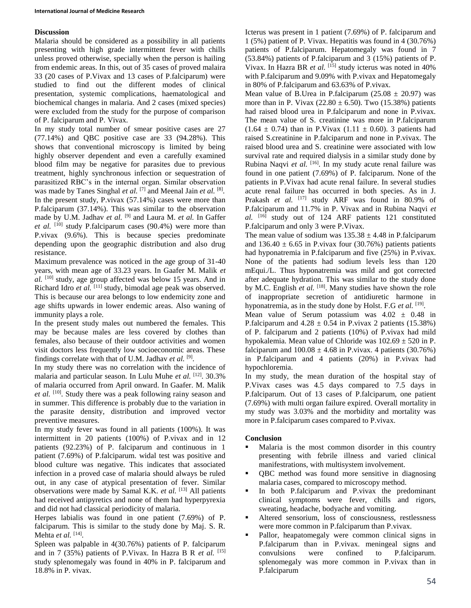# **Discussion**

Malaria should be considered as a possibility in all patients presenting with high grade intermittent fever with chills unless proved otherwise, specially when the person is hailing from endemic areas. In this, out of 35 cases of proved malaira 33 (20 cases of P.Vivax and 13 cases of P.falciparum) were studied to find out the different modes of clinical presentation, systemic complications, haematological and biochemical changes in malaria. And 2 cases (mixed species) were excluded from the study for the purpose of comparison of P. falciparum and P. Vivax.

In my study total number of smear positive cases are 27  $(77.14%)$  and QBC positive case are 33  $(94.28%)$ . This shows that conventional microscopy is limited by being highly observer dependent and even a carefully examined blood film may be negative for parasites due to previous treatment, highly synchronous infection or sequestration of parasitized RBC's in the internal organ. Similar observation was made by Tanes Singhal *et al.* [7] and Meenal Jain *et al.* [8]. In the present study, P.vivax (57.14%) cases were more than P.falciparum (37.14%). This was similar to the observation made by U.M. Jadhav *et al.* [9] and Laura M. *et al.* In Gaffer *et al.* [10] study P.falciparum cases (90.4%) were more than P.vivax (9.6%). This is because species predominate depending upon the geographic distribution and also drug resistance.

Maximum prevalence was noticed in the age group of 31-40 years, with mean age of 33.23 years. In Gaafer M. Malik *et al.* [10] study, age group affected was below 15 years. And in Richard Idro *et al.* [11] study, bimodal age peak was observed. This is because our area belongs to low endemicity zone and age shifts upwards in lower endemic areas. Also waning of immunity plays a role.

In the present study males out numbered the females. This may be because males are less covered by clothes than females, also because of their outdoor activities and women visit doctors less frequently low socioeconomic areas. These findings correlate with that of U.M. Jadhav et al. <sup>[9]</sup>.

In my study there was no correlation with the incidence of malaria and particular season. In Lulu Muhe *et al.* [12]. 30.3% of malaria occurred from April onward. In Gaafer. M. Malik et al. <sup>[10]</sup>. Study there was a peak following rainy season and in summer. This difference is probably due to the variation in the parasite density, distribution and improved vector preventive measures.

In my study fever was found in all patients (100%). It was intermittent in 20 patients (100%) of P.vivax and in 12 patients (92.23%) of P. falciparum and continuous in 1 patient (7.69%) of P.falciparum. widal test was positive and blood culture was negative. This indicates that associated infection in a proved case of malaria should always be ruled out, in any case of atypical presentation of fever. Similar observations were made by Samal K.K. *et al.* [13] All patients had received antipyretics and none of them had hyperpyrexia and did not had classical periodicity of malaria.

Herpes labialis was found in one patient (7.69%) of P. falciparum. This is similar to the study done by Maj. S. R. Mehta *et al.* [14] .

Spleen was palpable in 4(30.76%) patients of P. falciparum and in 7 (35%) patients of P.Vivax. In Hazra B R *et al.* [15] study splenomegaly was found in 40% in P. falciparum and 18.8% in P. vivax.

Icterus was present in 1 patient (7.69%) of P. falciparum and 1 (5%) patient of P. Vivax. Hepatitis was found in 4 (30.76%) patients of P.falciparum. Hepatomegaly was found in 7 (53.84%) patients of P.falciparum and 3 (15%) patients of P. Vivax. In Hazra BR *et al.* [15] study icterus was noted in 40% with P.falciparum and 9.09% with P.vivax and Hepatomegaly in 80% of P.falciparum and 63.63% of P.vivax.

Mean value of B.Urea in P.falciparum  $(25.08 \pm 20.97)$  was more than in P. Vivax  $(22.80 \pm 6.50)$ . Two  $(15.38%)$  patients had raised blood urea in P.falciparum and none in P.vivax. The mean value of S. creatinine was more in P.falciparum  $(1.64 \pm 0.74)$  than in P.Vivax  $(1.11 \pm 0.60)$ . 3 patients had raised S.creatinine in P.falciparum and none in P.vivax. The raised blood urea and S. creatinine were associated with low survival rate and required dialysis in a similar study done by Rubina Naqvi et al. <sup>[16]</sup>. In my study acute renal failure was found in one patient (7.69%) of P. falciparum. None of the patients in P.Vivax had acute renal failure. In several studies acute renal failure has occurred in both species. As in J. Prakash et al. [17] study ARF was found in 80.9% of P.falciparum and 11.7% in P. Vivax and in Rubina Naqvi *et al.* [16] study out of 124 ARF patients 121 constituted P.falciparum and only 3 were P.Vivax.

The mean value of sodium was  $135.38 \pm 4.48$  in P.falciparum and  $136.40 \pm 6.65$  in P.vivax four (30.76%) patients patients had hyponatremia in P.falciparum and five (25%) in P.vivax. None of the patients had sodium levels less than 120 mEqui./L. Thus hyponatremia was mild and got corrected after adequate hydration. This was similar to the study done by M.C. English *et al.* <sup>[18]</sup>. Many studies have shown the role of inappropriate secretion of antidiuretic harmone in hyponatremia, as in the study done by Holst. F.G et al. [19].

Mean value of Serum potassium was  $4.02 \pm 0.48$  in P.falciparum and  $4.28 \pm 0.54$  in P.vivax 2 patients (15.38%) of P. falciparum and 2 patients (10%) of P.vivax had mild hypokalemia. Mean value of Chloride was  $102.69 \pm 520$  in P. falciparum and  $100.08 \pm 4.68$  in P.vivax. 4 patients (30.76%) in P.falciparum and 4 patients (20%) in P.vivax had hypochloremia.

In my study, the mean duration of the hospital stay of P.Vivax cases was 4.5 days compared to 7.5 days in P.falciparum. Out of 13 cases of P.falciparum, one patient (7.69%) with multi organ failure expired. Overall mortality in my study was 3.03% and the morbidity and mortality was more in P.falciparum cases compared to P.vivax.

# **Conclusion**

- Malaria is the most common disorder in this country presenting with febrile illness and varied clinical manifestrations, with multisystem involvement.
- QBC method was found more sensitive in diagnosing malaria cases, compared to microscopy method.
- In both P.falciparum and P.vivax the predominant clinical symptoms were fever, chills and rigors, sweating, headache, bodyache and vomiting.
- Altered sensorium, loss of consciousness, restlessness were more common in P.falciparum than P.vivax.
- Pallor, heapatomegaly were common clinical signs in P.falciparum than in P.vivax. meningeal signs and convulsions were confined to P.falciparum. splenomegaly was more common in P.vivax than in P.falciparum